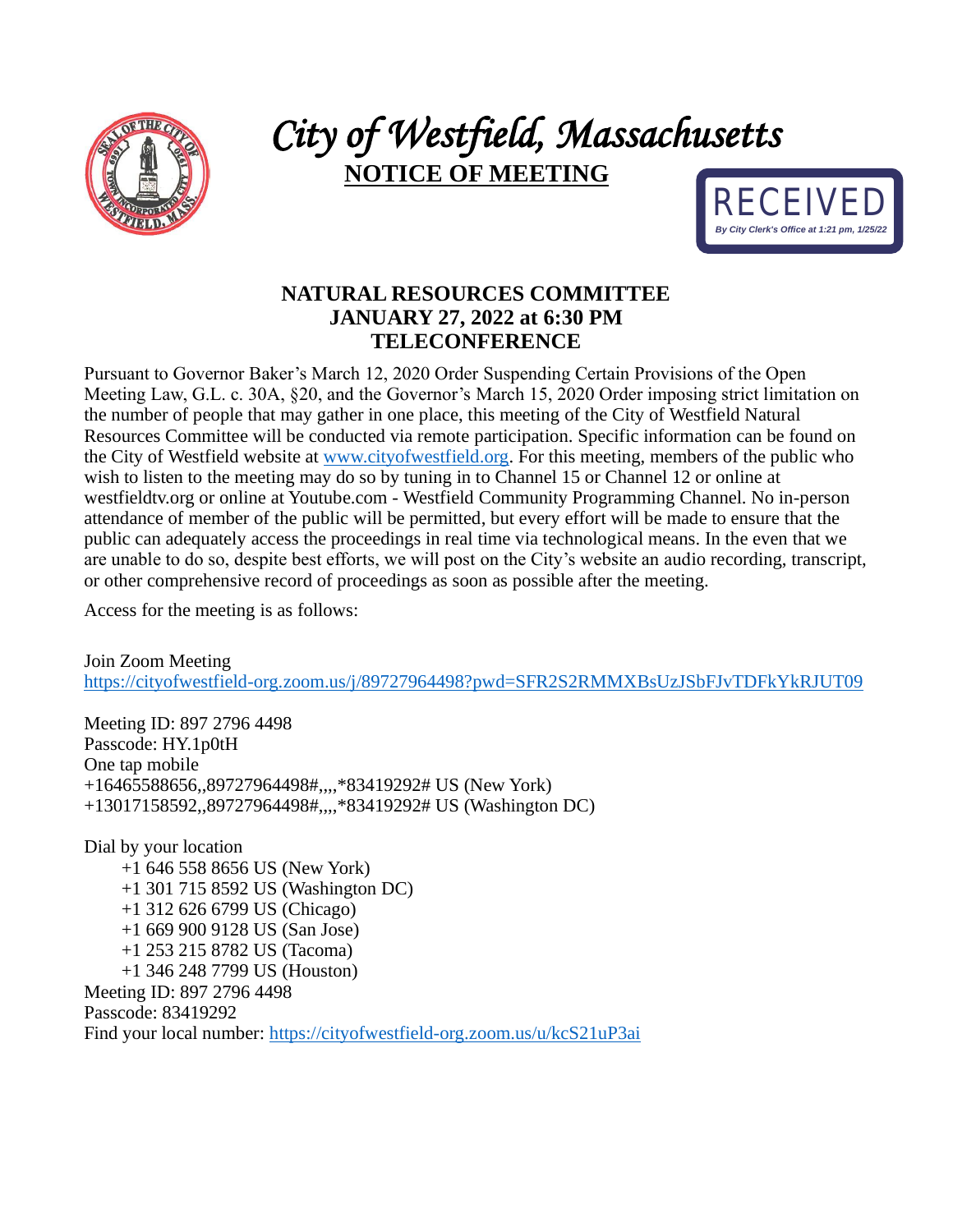

## *City of Westfield, Massachusetts*  **NOTICE OF MEETING**



## **NATURAL RESOURCES COMMITTEE JANUARY 27, 2022 at 6:30 PM TELECONFERENCE**

Pursuant to Governor Baker's March 12, 2020 Order Suspending Certain Provisions of the Open Meeting Law, G.L. c. 30A, §20, and the Governor's March 15, 2020 Order imposing strict limitation on the number of people that may gather in one place, this meeting of the City of Westfield Natural Resources Committee will be conducted via remote participation. Specific information can be found on the City of Westfield website at [www.cityofwestfield.org.](http://www.cityofwestfield.org/) For this meeting, members of the public who wish to listen to the meeting may do so by tuning in to Channel 15 or Channel 12 or online at westfieldtv.org or online at Youtube.com - Westfield Community Programming Channel. No in-person attendance of member of the public will be permitted, but every effort will be made to ensure that the public can adequately access the proceedings in real time via technological means. In the even that we are unable to do so, despite best efforts, we will post on the City's website an audio recording, transcript, or other comprehensive record of proceedings as soon as possible after the meeting.

Access for the meeting is as follows:

Join Zoom Meeting <https://cityofwestfield-org.zoom.us/j/89727964498?pwd=SFR2S2RMMXBsUzJSbFJvTDFkYkRJUT09>

Meeting ID: 897 2796 4498 Passcode: HY.1p0tH One tap mobile +16465588656,,89727964498#,,,,\*83419292# US (New York) +13017158592,,89727964498#,,,,\*83419292# US (Washington DC)

Dial by your location +1 646 558 8656 US (New York) +1 301 715 8592 US (Washington DC) +1 312 626 6799 US (Chicago) +1 669 900 9128 US (San Jose) +1 253 215 8782 US (Tacoma) +1 346 248 7799 US (Houston) Meeting ID: 897 2796 4498 Passcode: 83419292 Find your local number:<https://cityofwestfield-org.zoom.us/u/kcS21uP3ai>